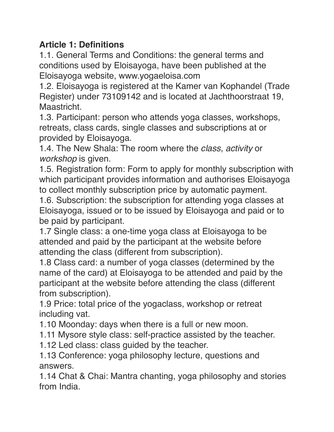### **Article 1: Definitions**

1.1. General Terms and Conditions: the general terms and conditions used by Eloisayoga, have been published at the Eloisayoga website, www.yogaeloisa.com

1.2. Eloisayoga is registered at the Kamer van Kophandel (Trade Register) under 73109142 and is located at Jachthoorstraat 19, Maastricht.

1.3. Participant: person who attends yoga classes, workshops, retreats, class cards, single classes and subscriptions at or provided by Eloisayoga.

1.4. The New Shala: The room where the *class*, *activity* or *workshop* is given.

1.5. Registration form: Form to apply for monthly subscription with which participant provides information and authorises Eloisayoga to collect monthly subscription price by automatic payment.

1.6. Subscription: the subscription for attending yoga classes at Eloisayoga, issued or to be issued by Eloisayoga and paid or to be paid by participant.

1.7 Single class: a one-time yoga class at Eloisayoga to be attended and paid by the participant at the website before attending the class (different from subscription).

1.8 Class card: a number of yoga classes (determined by the name of the card) at Eloisayoga to be attended and paid by the participant at the website before attending the class (different from subscription).

1.9 Price: total price of the yogaclass, workshop or retreat including vat.

1.10 Moonday: days when there is a full or new moon.

1.11 Mysore style class: self-practice assisted by the teacher.

1.12 Led class: class guided by the teacher.

1.13 Conference: yoga philosophy lecture, questions and answers.

1.14 Chat & Chai: Mantra chanting, yoga philosophy and stories from India.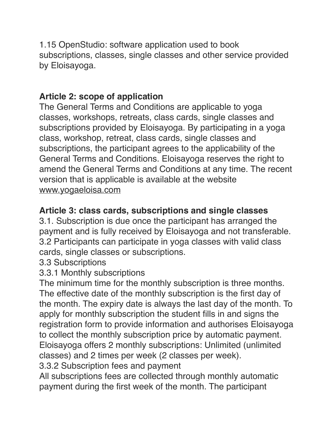1.15 OpenStudio: software application used to book subscriptions, classes, single classes and other service provided by Eloisayoga.

## **Article 2: scope of application**

The General Terms and Conditions are applicable to yoga classes, workshops, retreats, class cards, single classes and subscriptions provided by Eloisayoga. By participating in a yoga class, workshop, retreat, class cards, single classes and subscriptions, the participant agrees to the applicability of the General Terms and Conditions. Eloisayoga reserves the right to amend the General Terms and Conditions at any time. The recent version that is applicable is available at the website [www.yogaeloisa.com](http://www.yogaeloisa.com)

### **Article 3: class cards, subscriptions and single classes**

3.1. Subscription is due once the participant has arranged the payment and is fully received by Eloisayoga and not transferable. 3.2 Participants can participate in yoga classes with valid class cards, single classes or subscriptions.

#### 3.3 Subscriptions

### 3.3.1 Monthly subscriptions

The minimum time for the monthly subscription is three months. The effective date of the monthly subscription is the first day of the month. The expiry date is always the last day of the month. To apply for monthly subscription the student fills in and signs the registration form to provide information and authorises Eloisayoga to collect the monthly subscription price by automatic payment. Eloisayoga offers 2 monthly subscriptions: Unlimited (unlimited classes) and 2 times per week (2 classes per week).

3.3.2 Subscription fees and payment

All subscriptions fees are collected through monthly automatic payment during the first week of the month. The participant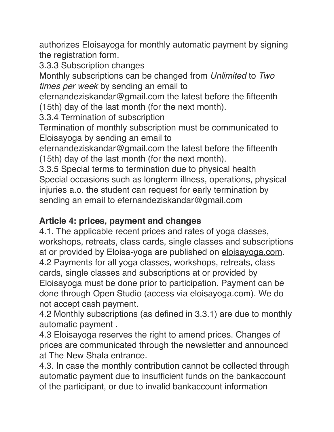authorizes Eloisayoga for monthly automatic payment by signing the registration form.

3.3.3 Subscription changes

Monthly subscriptions can be changed from *Unlimited* to *Two times per week* by sending an email to

efernandeziskandar@gmail.com the latest before the fifteenth (15th) day of the last month (for the next month).

3.3.4 Termination of subscription

Termination of monthly subscription must be communicated to Eloisayoga by sending an email to

efernandeziskandar@gmail.com the latest before the fifteenth (15th) day of the last month (for the next month).

3.3.5 Special terms to termination due to physical health Special occasions such as longterm illness, operations, physical injuries a.o. the student can request for early termination by sending an email to efernandeziskandar@gmail.com

### **Article 4: prices, payment and changes**

4.1. The applicable recent prices and rates of yoga classes, workshops, retreats, class cards, single classes and subscriptions at or provided by Eloisa-yoga are published on [eloisayoga.com.](http://eloisayoga.com) 4.2 Payments for all yoga classes, workshops, retreats, class cards, single classes and subscriptions at or provided by Eloisayoga must be done prior to participation. Payment can be done through Open Studio (access via [eloisayoga.com\)](http://eloisayoga.com). We do not accept cash payment.

4.2 Monthly subscriptions (as defined in 3.3.1) are due to monthly automatic payment .

4.3 Eloisayoga reserves the right to amend prices. Changes of prices are communicated through the newsletter and announced at The New Shala entrance.

4.3. In case the monthly contribution cannot be collected through automatic payment due to insufficient funds on the bankaccount of the participant, or due to invalid bankaccount information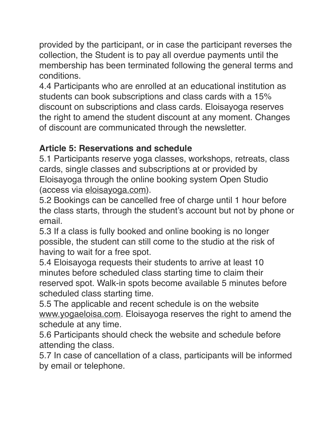provided by the participant, or in case the participant reverses the collection, the Student is to pay all overdue payments until the membership has been terminated following the general terms and conditions.

4.4 Participants who are enrolled at an educational institution as students can book subscriptions and class cards with a 15% discount on subscriptions and class cards. Eloisayoga reserves the right to amend the student discount at any moment. Changes of discount are communicated through the newsletter.

# **Article 5: Reservations and schedule**

5.1 Participants reserve yoga classes, workshops, retreats, class cards, single classes and subscriptions at or provided by Eloisayoga through the online booking system Open Studio (access via [eloisayoga.com\)](http://eloisayoga.com).

5.2 Bookings can be cancelled free of charge until 1 hour before the class starts, through the student's account but not by phone or email.

5.3 If a class is fully booked and online booking is no longer possible, the student can still come to the studio at the risk of having to wait for a free spot.

5.4 Eloisayoga requests their students to arrive at least 10 minutes before scheduled class starting time to claim their reserved spot. Walk-in spots become available 5 minutes before scheduled class starting time.

5.5 The applicable and recent schedule is on the website [www.yogaeloisa.com](http://www.yogaeloisa.com). Eloisayoga reserves the right to amend the schedule at any time.

5.6 Participants should check the website and schedule before attending the class.

5.7 In case of cancellation of a class, participants will be informed by email or telephone.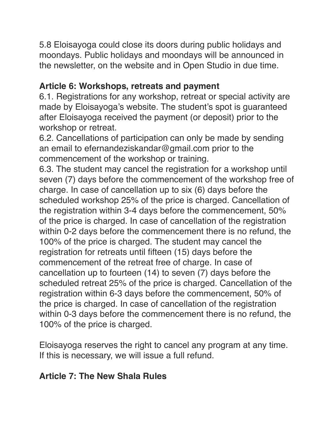5.8 Eloisayoga could close its doors during public holidays and moondays. Public holidays and moondays will be announced in the newsletter, on the website and in Open Studio in due time.

### **Article 6: Workshops, retreats and payment**

6.1. Registrations for any workshop, retreat or special activity are made by Eloisayoga's website. The student's spot is guaranteed after Eloisayoga received the payment (or deposit) prior to the workshop or retreat.

6.2. Cancellations of participation can only be made by sending an email to efernandeziskandar@gmail.com prior to the commencement of the workshop or training.

6.3. The student may cancel the registration for a workshop until seven (7) days before the commencement of the workshop free of charge. In case of cancellation up to six (6) days before the scheduled workshop 25% of the price is charged. Cancellation of the registration within 3-4 days before the commencement, 50% of the price is charged. In case of cancellation of the registration within 0-2 days before the commencement there is no refund, the 100% of the price is charged. The student may cancel the registration for retreats until fifteen (15) days before the commencement of the retreat free of charge. In case of cancellation up to fourteen (14) to seven (7) days before the scheduled retreat 25% of the price is charged. Cancellation of the registration within 6-3 days before the commencement, 50% of the price is charged. In case of cancellation of the registration within 0-3 days before the commencement there is no refund, the 100% of the price is charged.

Eloisayoga reserves the right to cancel any program at any time. If this is necessary, we will issue a full refund.

### **Article 7: The New Shala Rules**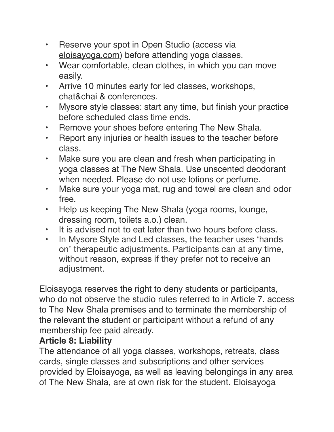- Reserve your spot in Open Studio (access via [eloisayoga.com](http://eloisayoga.com)) before attending yoga classes.
- Wear comfortable, clean clothes, in which you can move easily.
- Arrive 10 minutes early for led classes, workshops, chat&chai & conferences.
- Mysore style classes: start any time, but finish your practice before scheduled class time ends.
- Remove your shoes before entering The New Shala.
- Report any injuries or health issues to the teacher before class.
- Make sure you are clean and fresh when participating in yoga classes at The New Shala. Use unscented deodorant when needed. Please do not use lotions or perfume.
- Make sure your yoga mat, rug and towel are clean and odor free.
- Help us keeping The New Shala (yoga rooms, lounge, dressing room, toilets a.o.) clean.
- It is advised not to eat later than two hours before class.
- In Mysore Style and Led classes, the teacher uses 'hands on' therapeutic adjustments. Participants can at any time, without reason, express if they prefer not to receive an adjustment.

Eloisayoga reserves the right to deny students or participants, who do not observe the studio rules referred to in Article 7, access to The New Shala premises and to terminate the membership of the relevant the student or participant without a refund of any membership fee paid already.

### **Article 8: Liability**

The attendance of all yoga classes, workshops, retreats, class cards, single classes and subscriptions and other services provided by Eloisayoga, as well as leaving belongings in any area of The New Shala, are at own risk for the student. Eloisayoga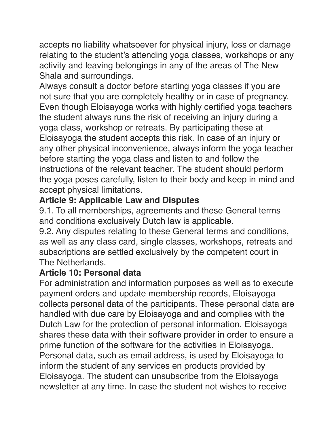accepts no liability whatsoever for physical injury, loss or damage relating to the student's attending yoga classes, workshops or any activity and leaving belongings in any of the areas of The New Shala and surroundings.

Always consult a doctor before starting yoga classes if you are not sure that you are completely healthy or in case of pregnancy. Even though Eloisayoga works with highly certified yoga teachers the student always runs the risk of receiving an injury during a yoga class, workshop or retreats. By participating these at Eloisayoga the student accepts this risk. In case of an injury or any other physical inconvenience, always inform the yoga teacher before starting the yoga class and listen to and follow the instructions of the relevant teacher. The student should perform the yoga poses carefully, listen to their body and keep in mind and accept physical limitations.

# **Article 9: Applicable Law and Disputes**

9.1. To all memberships, agreements and these General terms and conditions exclusively Dutch law is applicable.

9.2. Any disputes relating to these General terms and conditions, as well as any class card, single classes, workshops, retreats and subscriptions are settled exclusively by the competent court in The Netherlands.

## **Article 10: Personal data**

For administration and information purposes as well as to execute payment orders and update membership records, Eloisayoga collects personal data of the participants. These personal data are handled with due care by Eloisayoga and and complies with the Dutch Law for the protection of personal information. Eloisayoga shares these data with their software provider in order to ensure a prime function of the software for the activities in Eloisayoga. Personal data, such as email address, is used by Eloisayoga to inform the student of any services en products provided by Eloisayoga. The student can unsubscribe from the Eloisayoga newsletter at any time. In case the student not wishes to receive